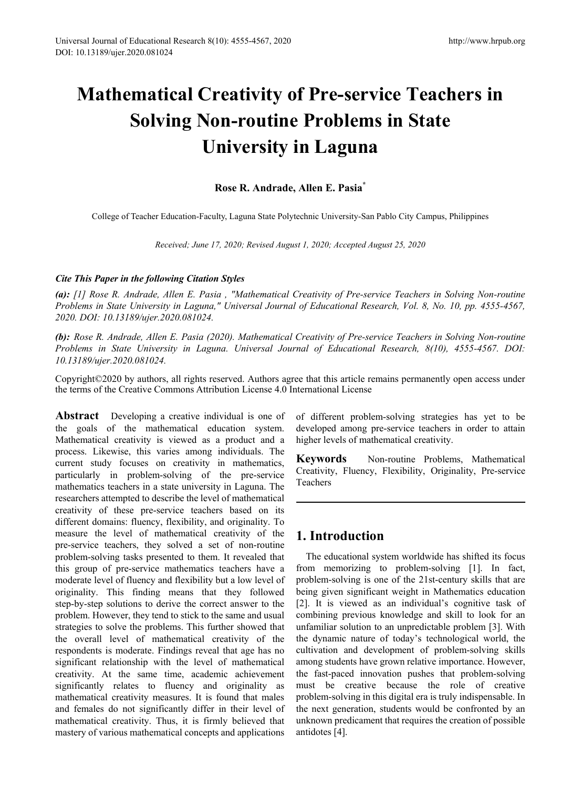# **Mathematical Creativity of Pre-service Teachers in Solving Non-routine Problems in State University in Laguna**

# **Rose R. Andrade, Allen E. Pasia\***

College of Teacher Education-Faculty, Laguna State Polytechnic University-San Pablo City Campus, Philippines

*Received; June 17, 2020; Revised August 1, 2020; Accepted August 25, 2020*

### *Cite This Paper in the following Citation Styles*

*(a): [1] Rose R. Andrade, Allen E. Pasia , "Mathematical Creativity of Pre-service Teachers in Solving Non-routine Problems in State University in Laguna," Universal Journal of Educational Research, Vol. 8, No. 10, pp. 4555-4567, 2020. DOI: 10.13189/ujer.2020.081024.* 

*(b): Rose R. Andrade, Allen E. Pasia (2020). Mathematical Creativity of Pre-service Teachers in Solving Non-routine Problems in State University in Laguna. Universal Journal of Educational Research, 8(10), 4555-4567. DOI: 10.13189/ujer.2020.081024.* 

Copyright©2020 by authors, all rights reserved. Authors agree that this article remains permanently open access under the terms of the Creative Commons Attribution License 4.0 International License

**Abstract** Developing a creative individual is one of the goals of the mathematical education system. Mathematical creativity is viewed as a product and a process. Likewise, this varies among individuals. The current study focuses on creativity in mathematics, particularly in problem-solving of the pre-service mathematics teachers in a state university in Laguna. The researchers attempted to describe the level of mathematical creativity of these pre-service teachers based on its different domains: fluency, flexibility, and originality. To measure the level of mathematical creativity of the pre-service teachers, they solved a set of non-routine problem-solving tasks presented to them. It revealed that this group of pre-service mathematics teachers have a moderate level of fluency and flexibility but a low level of originality. This finding means that they followed step-by-step solutions to derive the correct answer to the problem. However, they tend to stick to the same and usual strategies to solve the problems. This further showed that the overall level of mathematical creativity of the respondents is moderate. Findings reveal that age has no significant relationship with the level of mathematical creativity. At the same time, academic achievement significantly relates to fluency and originality as mathematical creativity measures. It is found that males and females do not significantly differ in their level of mathematical creativity. Thus, it is firmly believed that mastery of various mathematical concepts and applications

of different problem-solving strategies has yet to be developed among pre-service teachers in order to attain higher levels of mathematical creativity.

**Keywords** Non-routine Problems, Mathematical Creativity, Fluency, Flexibility, Originality, Pre-service Teachers

# **1. Introduction**

The educational system worldwide has shifted its focus from memorizing to problem-solving [1]. In fact, problem-solving is one of the 21st-century skills that are being given significant weight in Mathematics education [2]. It is viewed as an individual's cognitive task of combining previous knowledge and skill to look for an unfamiliar solution to an unpredictable problem [3]. With the dynamic nature of today's technological world, the cultivation and development of problem-solving skills among students have grown relative importance. However, the fast-paced innovation pushes that problem-solving must be creative because the role of creative problem-solving in this digital era is truly indispensable. In the next generation, students would be confronted by an unknown predicament that requires the creation of possible antidotes [4].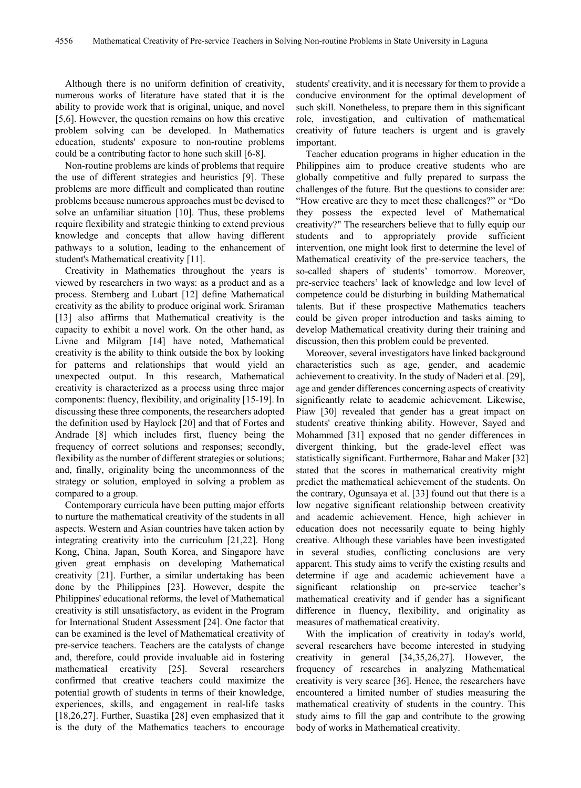Although there is no uniform definition of creativity, numerous works of literature have stated that it is the ability to provide work that is original, unique, and novel [5,6]. However, the question remains on how this creative problem solving can be developed. In Mathematics education, students' exposure to non-routine problems could be a contributing factor to hone such skill [6-8].

Non-routine problems are kinds of problems that require the use of different strategies and heuristics [9]. These problems are more difficult and complicated than routine problems because numerous approaches must be devised to solve an unfamiliar situation [10]. Thus, these problems require flexibility and strategic thinking to extend previous knowledge and concepts that allow having different pathways to a solution, leading to the enhancement of student's Mathematical creativity [11].

Creativity in Mathematics throughout the years is viewed by researchers in two ways: as a product and as a process. Sternberg and Lubart [12] define Mathematical creativity as the ability to produce original work. Sriraman [13] also affirms that Mathematical creativity is the capacity to exhibit a novel work. On the other hand, as Livne and Milgram [14] have noted, Mathematical creativity is the ability to think outside the box by looking for patterns and relationships that would yield an unexpected output. In this research, Mathematical creativity is characterized as a process using three major components: fluency, flexibility, and originality [15-19]. In discussing these three components, the researchers adopted the definition used by Haylock [20] and that of Fortes and Andrade [8] which includes first, fluency being the frequency of correct solutions and responses; secondly, flexibility as the number of different strategies or solutions; and, finally, originality being the uncommonness of the strategy or solution, employed in solving a problem as compared to a group.

Contemporary curricula have been putting major efforts to nurture the mathematical creativity of the students in all aspects. Western and Asian countries have taken action by integrating creativity into the curriculum [21,22]. Hong Kong, China, Japan, South Korea, and Singapore have given great emphasis on developing Mathematical creativity [21]. Further, a similar undertaking has been done by the Philippines [23]. However, despite the Philippines' educational reforms, the level of Mathematical creativity is still unsatisfactory, as evident in the Program for International Student Assessment [24]. One factor that can be examined is the level of Mathematical creativity of pre-service teachers. Teachers are the catalysts of change and, therefore, could provide invaluable aid in fostering mathematical creativity [25]. Several researchers confirmed that creative teachers could maximize the potential growth of students in terms of their knowledge, experiences, skills, and engagement in real-life tasks [18,26,27]. Further, Suastika [28] even emphasized that it is the duty of the Mathematics teachers to encourage

students' creativity, and it is necessary for them to provide a conducive environment for the optimal development of such skill. Nonetheless, to prepare them in this significant role, investigation, and cultivation of mathematical creativity of future teachers is urgent and is gravely important.

Teacher education programs in higher education in the Philippines aim to produce creative students who are globally competitive and fully prepared to surpass the challenges of the future. But the questions to consider are: "How creative are they to meet these challenges?" or "Do they possess the expected level of Mathematical creativity?" The researchers believe that to fully equip our students and to appropriately provide sufficient intervention, one might look first to determine the level of Mathematical creativity of the pre-service teachers, the so-called shapers of students' tomorrow. Moreover, pre-service teachers' lack of knowledge and low level of competence could be disturbing in building Mathematical talents. But if these prospective Mathematics teachers could be given proper introduction and tasks aiming to develop Mathematical creativity during their training and discussion, then this problem could be prevented.

Moreover, several investigators have linked background characteristics such as age, gender, and academic achievement to creativity. In the study of Naderi et al. [29], age and gender differences concerning aspects of creativity significantly relate to academic achievement. Likewise, Piaw [30] revealed that gender has a great impact on students' creative thinking ability. However, Sayed and Mohammed [31] exposed that no gender differences in divergent thinking, but the grade-level effect was statistically significant. Furthermore, Bahar and Maker [32] stated that the scores in mathematical creativity might predict the mathematical achievement of the students. On the contrary, Ogunsaya et al. [33] found out that there is a low negative significant relationship between creativity and academic achievement. Hence, high achiever in education does not necessarily equate to being highly creative. Although these variables have been investigated in several studies, conflicting conclusions are very apparent. This study aims to verify the existing results and determine if age and academic achievement have a significant relationship on pre-service teacher's mathematical creativity and if gender has a significant difference in fluency, flexibility, and originality as measures of mathematical creativity.

With the implication of creativity in today's world, several researchers have become interested in studying creativity in general [34,35,26,27]. However, the frequency of researches in analyzing Mathematical creativity is very scarce [36]. Hence, the researchers have encountered a limited number of studies measuring the mathematical creativity of students in the country. This study aims to fill the gap and contribute to the growing body of works in Mathematical creativity.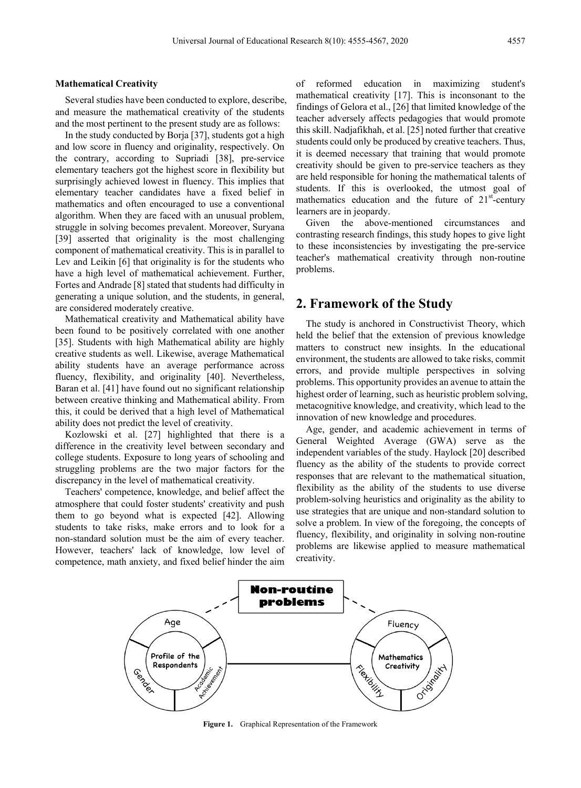#### **Mathematical Creativity**

Several studies have been conducted to explore, describe, and measure the mathematical creativity of the students and the most pertinent to the present study are as follows:

In the study conducted by Borja [37], students got a high and low score in fluency and originality, respectively. On the contrary, according to Supriadi [38], pre-service elementary teachers got the highest score in flexibility but surprisingly achieved lowest in fluency. This implies that elementary teacher candidates have a fixed belief in mathematics and often encouraged to use a conventional algorithm. When they are faced with an unusual problem, struggle in solving becomes prevalent. Moreover, Suryana [39] asserted that originality is the most challenging component of mathematical creativity. This is in parallel to Lev and Leikin [6] that originality is for the students who have a high level of mathematical achievement. Further, Fortes and Andrade [8] stated that students had difficulty in generating a unique solution, and the students, in general, are considered moderately creative.

Mathematical creativity and Mathematical ability have been found to be positively correlated with one another [35]. Students with high Mathematical ability are highly creative students as well. Likewise, average Mathematical ability students have an average performance across fluency, flexibility, and originality [40]. Nevertheless, Baran et al. [41] have found out no significant relationship between creative thinking and Mathematical ability. From this, it could be derived that a high level of Mathematical ability does not predict the level of creativity.

Kozlowski et al. [27] highlighted that there is a difference in the creativity level between secondary and college students. Exposure to long years of schooling and struggling problems are the two major factors for the discrepancy in the level of mathematical creativity.

Teachers' competence, knowledge, and belief affect the atmosphere that could foster students' creativity and push them to go beyond what is expected [42]. Allowing students to take risks, make errors and to look for a non-standard solution must be the aim of every teacher. However, teachers' lack of knowledge, low level of competence, math anxiety, and fixed belief hinder the aim

of reformed education in maximizing student's mathematical creativity [17]. This is inconsonant to the findings of Gelora et al., [26] that limited knowledge of the teacher adversely affects pedagogies that would promote this skill. Nadjafikhah, et al. [25] noted further that creative students could only be produced by creative teachers. Thus, it is deemed necessary that training that would promote creativity should be given to pre-service teachers as they are held responsible for honing the mathematical talents of students. If this is overlooked, the utmost goal of mathematics education and the future of  $21<sup>st</sup>$ -century learners are in jeopardy.

Given the above-mentioned circumstances and contrasting research findings, this study hopes to give light to these inconsistencies by investigating the pre-service teacher's mathematical creativity through non-routine problems.

## **2. Framework of the Study**

The study is anchored in Constructivist Theory, which held the belief that the extension of previous knowledge matters to construct new insights. In the educational environment, the students are allowed to take risks, commit errors, and provide multiple perspectives in solving problems. This opportunity provides an avenue to attain the highest order of learning, such as heuristic problem solving, metacognitive knowledge, and creativity, which lead to the innovation of new knowledge and procedures.

Age, gender, and academic achievement in terms of General Weighted Average (GWA) serve as the independent variables of the study. Haylock [20] described fluency as the ability of the students to provide correct responses that are relevant to the mathematical situation, flexibility as the ability of the students to use diverse problem-solving heuristics and originality as the ability to use strategies that are unique and non-standard solution to solve a problem. In view of the foregoing, the concepts of fluency, flexibility, and originality in solving non-routine problems are likewise applied to measure mathematical creativity.



**Figure 1.** Graphical Representation of the Framework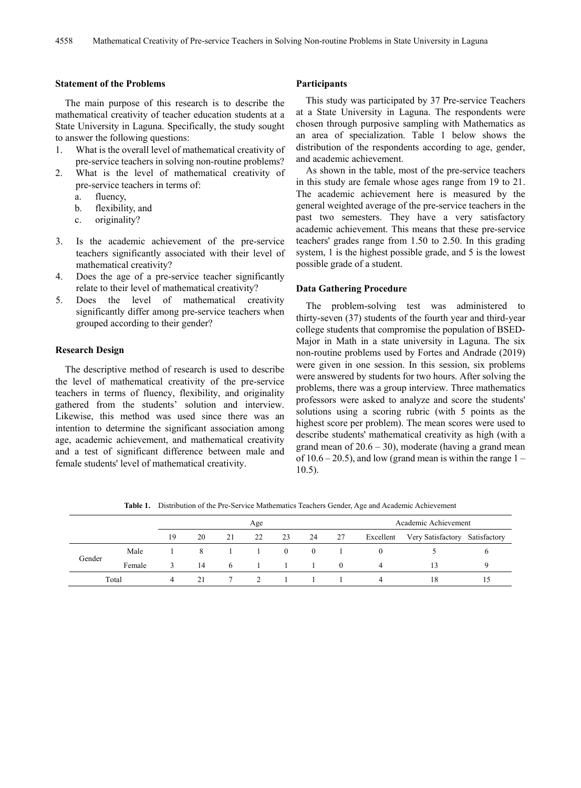#### **Statement of the Problems**

The main purpose of this research is to describe the mathematical creativity of teacher education students at a State University in Laguna. Specifically, the study sought to answer the following questions:

- 1. What is the overall level of mathematical creativity of pre-service teachers in solving non-routine problems?
- 2. What is the level of mathematical creativity of pre-service teachers in terms of:
	- a. fluency,
	- b. flexibility, and
	- c. originality?
- 3. Is the academic achievement of the pre-service teachers significantly associated with their level of mathematical creativity?
- 4. Does the age of a pre-service teacher significantly relate to their level of mathematical creativity?
- 5. Does the level of mathematical creativity significantly differ among pre-service teachers when grouped according to their gender?

#### **Research Design**

The descriptive method of research is used to describe the level of mathematical creativity of the pre-service teachers in terms of fluency, flexibility, and originality gathered from the students' solution and interview. Likewise, this method was used since there was an intention to determine the significant association among age, academic achievement, and mathematical creativity and a test of significant difference between male and female students' level of mathematical creativity.

#### **Participants**

This study was participated by 37 Pre-service Teachers at a State University in Laguna. The respondents were chosen through purposive sampling with Mathematics as an area of specialization. Table 1 below shows the distribution of the respondents according to age, gender, and academic achievement.

As shown in the table, most of the pre-service teachers in this study are female whose ages range from 19 to 21. The academic achievement here is measured by the general weighted average of the pre-service teachers in the past two semesters. They have a very satisfactory academic achievement. This means that these pre-service teachers' grades range from 1.50 to 2.50. In this grading system, 1 is the highest possible grade, and 5 is the lowest possible grade of a student.

#### **Data Gathering Procedure**

The problem-solving test was administered to thirty-seven (37) students of the fourth year and third-year college students that compromise the population of BSED-Major in Math in a state university in Laguna. The six non-routine problems used by Fortes and Andrade (2019) were given in one session. In this session, six problems were answered by students for two hours. After solving the problems, there was a group interview. Three mathematics professors were asked to analyze and score the students' solutions using a scoring rubric (with 5 points as the highest score per problem). The mean scores were used to describe students' mathematical creativity as high (with a grand mean of  $20.6 - 30$ ), moderate (having a grand mean of  $10.6 - 20.5$ ), and low (grand mean is within the range  $1 -$ 10.5).

Age Academic Achievement 19 20 21 22 23 24 27 Excellent Very Satisfactory Satisfactory Gender Male 1 8 1 1 0 0 1 0 0 5 6 Female 3 14 6 1 1 1 0 4 13 9 Total 4 21 7 2 1 1 1 4 18 15

**Table 1.** Distribution of the Pre-Service Mathematics Teachers Gender, Age and Academic Achievement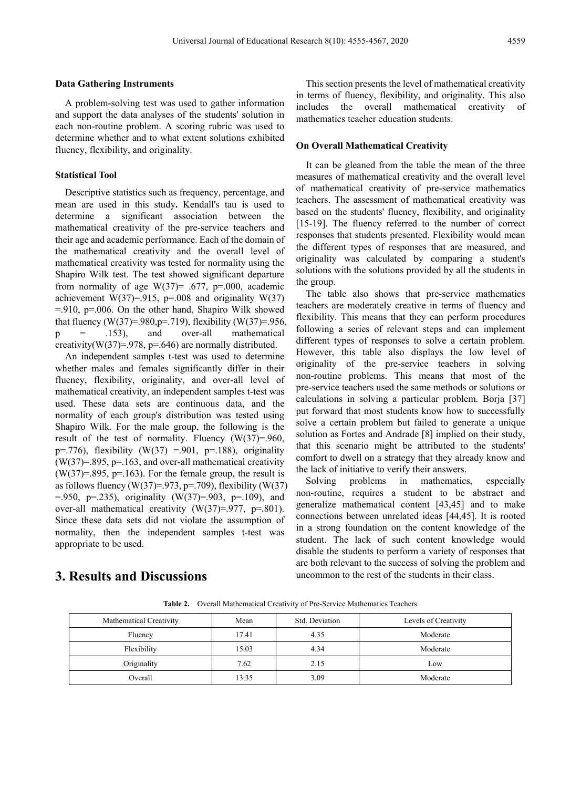#### **Data Gathering Instruments**

A problem-solving test was used to gather information and support the data analyses of the students' solution in each non-routine problem. A scoring rubric was used to determine whether and to what extent solutions exhibited fluency, flexibility, and originality.

#### **Statistical Tool**

Descriptive statistics such as frequency, percentage, and mean are used in this study**.** Kendall's tau is used to determine a significant association between the mathematical creativity of the pre-service teachers and their age and academic performance. Each of the domain of the mathematical creativity and the overall level of mathematical creativity was tested for normality using the Shapiro Wilk test. The test showed significant departure from normality of age  $W(37) = .677$ , p=.000, academic achievement W(37)=.915, p=.008 and originality W(37)  $= 910$ , p $= 006$ . On the other hand, Shapiro Wilk showed that fluency (W(37)=.980, p=.719), flexibility (W(37)=.956,  $p = 153$ , and over-all mathematical creativity( $W(37)=.978$ ,  $p=.646$ ) are normally distributed.

An independent samples t-test was used to determine whether males and females significantly differ in their fluency, flexibility, originality, and over-all level of mathematical creativity, an independent samples t-test was used. These data sets are continuous data, and the normality of each group's distribution was tested using Shapiro Wilk. For the male group, the following is the result of the test of normality. Fluency  $(W(37)=960)$ , p=.776), flexibility (W(37) =.901, p=.188), originality  $(W(37)=.895, p=.163,$  and over-all mathematical creativity  $(W(37)=.895, p=.163)$ . For the female group, the result is as follows fluency (W(37)=.973, p=.709), flexibility (W(37)  $= 950$ , p=.235), originality (W(37)=.903, p=.109), and over-all mathematical creativity (W(37)=.977, p=.801). Since these data sets did not violate the assumption of normality, then the independent samples t-test was appropriate to be used.

This section presents the level of mathematical creativity in terms of fluency, flexibility, and originality. This also includes the overall mathematical creativity of mathematics teacher education students.

#### **On Overall Mathematical Creativity**

It can be gleaned from the table the mean of the three measures of mathematical creativity and the overall level of mathematical creativity of pre-service mathematics teachers. The assessment of mathematical creativity was based on the students' fluency, flexibility, and originality [15-19]. The fluency referred to the number of correct responses that students presented. Flexibility would mean the different types of responses that are measured, and originality was calculated by comparing a student's solutions with the solutions provided by all the students in the group.

The table also shows that pre-service mathematics teachers are moderately creative in terms of fluency and flexibility. This means that they can perform procedures following a series of relevant steps and can implement different types of responses to solve a certain problem. However, this table also displays the low level of originality of the pre-service teachers in solving non-routine problems. This means that most of the pre-service teachers used the same methods or solutions or calculations in solving a particular problem. Borja [37] put forward that most students know how to successfully solve a certain problem but failed to generate a unique solution as Fortes and Andrade [8] implied on their study, that this scenario might be attributed to the students' comfort to dwell on a strategy that they already know and the lack of initiative to verify their answers.

Solving problems in mathematics, especially non-routine, requires a student to be abstract and generalize mathematical content [43,45] and to make connections between unrelated ideas [44,45]. It is rooted in a strong foundation on the content knowledge of the student. The lack of such content knowledge would disable the students to perform a variety of responses that are both relevant to the success of solving the problem and uncommon to the rest of the students in their class.

# **3. Results and Discussions**

**Table 2.** Overall Mathematical Creativity of Pre-Service Mathematics Teachers

| Mathematical Creativity | Mean  | Std. Deviation | Levels of Creativity |
|-------------------------|-------|----------------|----------------------|
| Fluency                 | 17.41 | 4.35           | Moderate             |
| Flexibility             | 15.03 | 4.34           | Moderate             |
| Originality             | 7.62  | 2.15           | Low                  |
| Overall                 | 13.35 | 3.09           | Moderate             |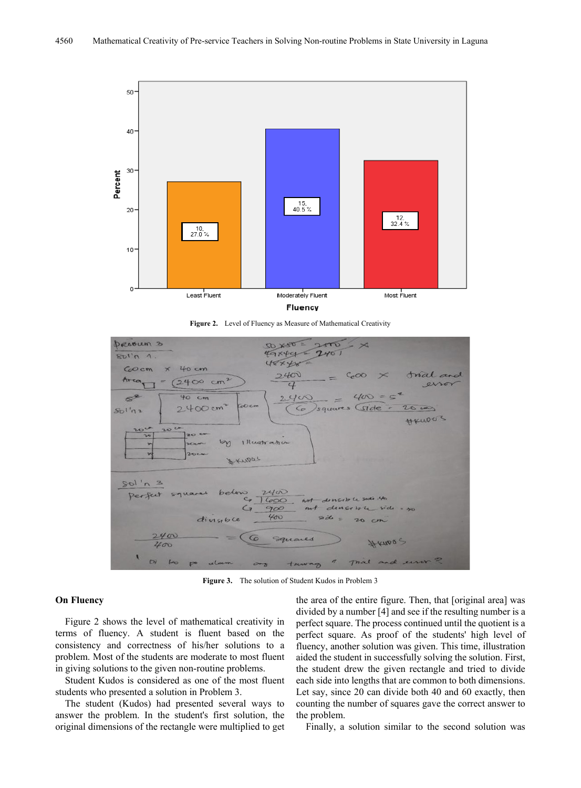

**Figure 2.** Level of Fluency as Measure of Mathematical Creativity



**Figure 3.** The solution of Student Kudos in Problem 3

#### **On Fluency**

Figure 2 shows the level of mathematical creativity in terms of fluency. A student is fluent based on the consistency and correctness of his/her solutions to a problem. Most of the students are moderate to most fluent in giving solutions to the given non-routine problems.

Student Kudos is considered as one of the most fluent students who presented a solution in Problem 3.

The student (Kudos) had presented several ways to answer the problem. In the student's first solution, the original dimensions of the rectangle were multiplied to get

the area of the entire figure. Then, that [original area] was divided by a number [4] and see if the resulting number is a perfect square. The process continued until the quotient is a perfect square. As proof of the students' high level of fluency, another solution was given. This time, illustration aided the student in successfully solving the solution. First, the student drew the given rectangle and tried to divide each side into lengths that are common to both dimensions. Let say, since 20 can divide both 40 and 60 exactly, then counting the number of squares gave the correct answer to the problem.

Finally, a solution similar to the second solution was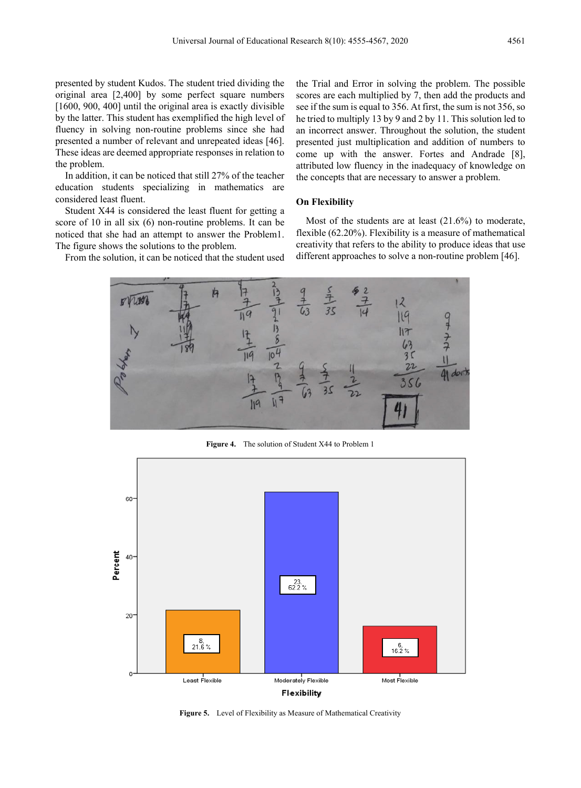presented by student Kudos. The student tried dividing the original area [2,400] by some perfect square numbers [1600, 900, 400] until the original area is exactly divisible by the latter. This student has exemplified the high level of fluency in solving non-routine problems since she had presented a number of relevant and unrepeated ideas [46]. These ideas are deemed appropriate responses in relation to the problem.

In addition, it can be noticed that still 27% of the teacher education students specializing in mathematics are considered least fluent.

Student X44 is considered the least fluent for getting a score of 10 in all six (6) non-routine problems. It can be noticed that she had an attempt to answer the Problem1. The figure shows the solutions to the problem.

From the solution, it can be noticed that the student used

the Trial and Error in solving the problem. The possible scores are each multiplied by 7, then add the products and see if the sum is equal to 356. At first, the sum is not 356, so he tried to multiply 13 by 9 and 2 by 11. This solution led to an incorrect answer. Throughout the solution, the student presented just multiplication and addition of numbers to come up with the answer. Fortes and Andrade [8], attributed low fluency in the inadequacy of knowledge on the concepts that are necessary to answer a problem.

#### **On Flexibility**

Most of the students are at least (21.6%) to moderate, flexible (62.20%). Flexibility is a measure of mathematical creativity that refers to the ability to produce ideas that use different approaches to solve a non-routine problem [46].



**Figure 4.** The solution of Student X44 to Problem 1



**Figure 5.** Level of Flexibility as Measure of Mathematical Creativity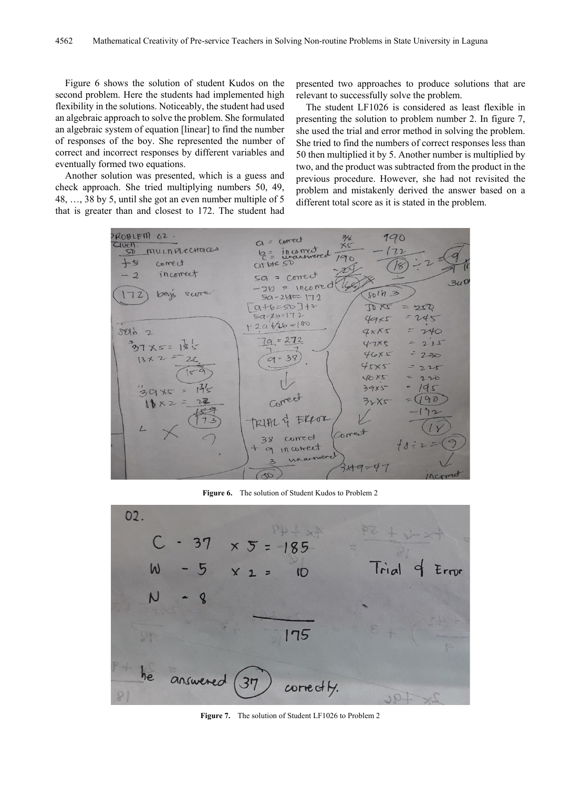Figure 6 shows the solution of student Kudos on the second problem. Here the students had implemented high flexibility in the solutions. Noticeably, the student had used an algebraic approach to solve the problem. She formulated an algebraic system of equation [linear] to find the number of responses of the boy. She represented the number of correct and incorrect responses by different variables and eventually formed two equations.

Another solution was presented, which is a guess and check approach. She tried multiplying numbers 50, 49, 48, …, 38 by 5, until she got an even number multiple of 5 that is greater than and closest to 172. The student had

presented two approaches to produce solutions that are relevant to successfully solve the problem.

The student LF1026 is considered as least flexible in presenting the solution to problem number 2. In figure 7, she used the trial and error method in solving the problem. She tried to find the numbers of correct responses less than 50 then multiplied it by 5. Another number is multiplied by two, and the product was subtracted from the product in the previous procedure. However, she had not revisited the problem and mistakenly derived the answer based on a different total score as it is stated in the problem.



**Figure 6.** The solution of Student Kudos to Problem 2



Figure 7. The solution of Student LF1026 to Problem 2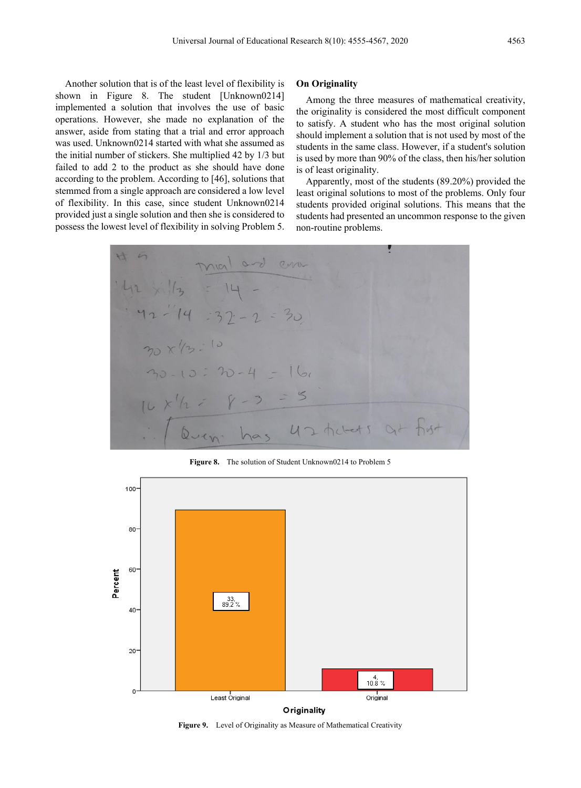Another solution that is of the least level of flexibility is shown in Figure 8. The student [Unknown0214] implemented a solution that involves the use of basic operations. However, she made no explanation of the answer, aside from stating that a trial and error approach was used. Unknown0214 started with what she assumed as the initial number of stickers. She multiplied 42 by 1/3 but failed to add 2 to the product as she should have done according to the problem. According to [46], solutions that stemmed from a single approach are considered a low level of flexibility. In this case, since student Unknown0214 provided just a single solution and then she is considered to possess the lowest level of flexibility in solving Problem 5.

#### **On Originality**

Among the three measures of mathematical creativity, the originality is considered the most difficult component to satisfy. A student who has the most original solution should implement a solution that is not used by most of the students in the same class. However, if a student's solution is used by more than 90% of the class, then his/her solution is of least originality.

Apparently, most of the students (89.20%) provided the least original solutions to most of the problems. Only four students provided original solutions. This means that the students had presented an uncommon response to the given non-routine problems.



**Figure 8.** The solution of Student Unknown0214 to Problem 5



**Figure 9.** Level of Originality as Measure of Mathematical Creativity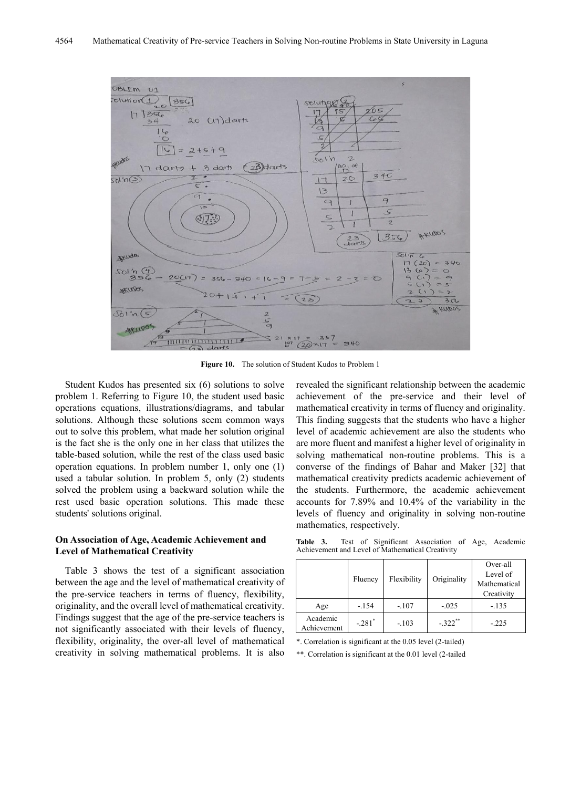

**Figure 10.** The solution of Student Kudos to Problem 1

Student Kudos has presented six (6) solutions to solve problem 1. Referring to Figure 10, the student used basic operations equations, illustrations/diagrams, and tabular solutions. Although these solutions seem common ways out to solve this problem, what made her solution original is the fact she is the only one in her class that utilizes the table-based solution, while the rest of the class used basic operation equations. In problem number 1, only one (1) used a tabular solution. In problem 5, only (2) students solved the problem using a backward solution while the rest used basic operation solutions. This made these students' solutions original.

#### **On Association of Age, Academic Achievement and Level of Mathematical Creativity**

Table 3 shows the test of a significant association between the age and the level of mathematical creativity of the pre-service teachers in terms of fluency, flexibility, originality, and the overall level of mathematical creativity. Findings suggest that the age of the pre-service teachers is not significantly associated with their levels of fluency, flexibility, originality, the over-all level of mathematical creativity in solving mathematical problems. It is also

revealed the significant relationship between the academic achievement of the pre-service and their level of mathematical creativity in terms of fluency and originality. This finding suggests that the students who have a higher level of academic achievement are also the students who are more fluent and manifest a higher level of originality in solving mathematical non-routine problems. This is a converse of the findings of Bahar and Maker [32] that mathematical creativity predicts academic achievement of the students. Furthermore, the academic achievement accounts for 7.89% and 10.4% of the variability in the levels of fluency and originality in solving non-routine mathematics, respectively.

**Table 3.** Test of Significant Association of Age, Academic Achievement and Level of Mathematical Creativity

|                         | Fluency              | Flexibility | Originality | Over-all<br>Level of<br>Mathematical<br>Creativity |
|-------------------------|----------------------|-------------|-------------|----------------------------------------------------|
| Age                     | $-.154$              | $-.107$     | $-.025$     | $-.135$                                            |
| Academic<br>Achievement | $-.281$ <sup>*</sup> | $-.103$     | $-.322$ **  | $-.225$                                            |

\*. Correlation is significant at the 0.05 level (2-tailed)

\*\*. Correlation is significant at the 0.01 level (2-tailed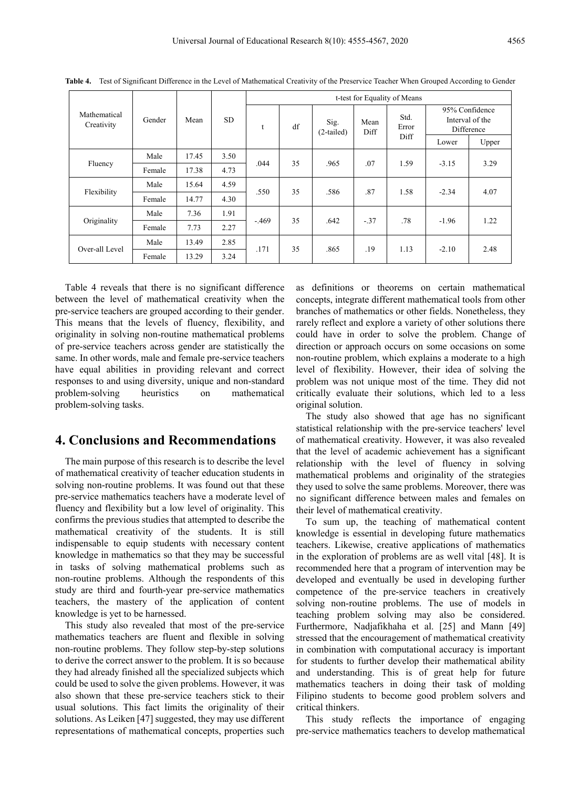|                            | Gender<br>Mean |       | <b>SD</b> | t-test for Equality of Means |    |                      |              |                       |                                                 |       |
|----------------------------|----------------|-------|-----------|------------------------------|----|----------------------|--------------|-----------------------|-------------------------------------------------|-------|
| Mathematical<br>Creativity |                |       |           | t                            | df | Sig.<br>$(2-tailed)$ | Mean<br>Diff | Std.<br>Error<br>Diff | 95% Confidence<br>Interval of the<br>Difference |       |
|                            |                |       |           |                              |    |                      |              |                       | Lower                                           | Upper |
| Fluency                    | Male           | 17.45 | 3.50      | .044                         | 35 | .965                 | .07          | 1.59                  | $-3.15$                                         | 3.29  |
|                            | Female         | 17.38 | 4.73      |                              |    |                      |              |                       |                                                 |       |
| Flexibility                | Male           | 15.64 | 4.59      | .550                         | 35 | .586                 | .87          | 1.58                  | $-2.34$                                         | 4.07  |
|                            | Female         | 14.77 | 4.30      |                              |    |                      |              |                       |                                                 |       |
| Originality                | Male           | 7.36  | 1.91      | $-469$                       | 35 | .642                 | $-.37$       | .78                   | $-1.96$                                         | 1.22  |
|                            | Female         | 7.73  | 2.27      |                              |    |                      |              |                       |                                                 |       |
| Over-all Level             | Male           | 13.49 | 2.85      | .171                         | 35 | .865                 | .19          | 1.13                  | $-2.10$                                         | 2.48  |
|                            | Female         | 13.29 | 3.24      |                              |    |                      |              |                       |                                                 |       |

**Table 4.** Test of Significant Difference in the Level of Mathematical Creativity of the Preservice Teacher When Grouped According to Gender

Table 4 reveals that there is no significant difference between the level of mathematical creativity when the pre-service teachers are grouped according to their gender. This means that the levels of fluency, flexibility, and originality in solving non-routine mathematical problems of pre-service teachers across gender are statistically the same. In other words, male and female pre-service teachers have equal abilities in providing relevant and correct responses to and using diversity, unique and non-standard problem-solving heuristics on mathematical problem-solving tasks.

## **4. Conclusions and Recommendations**

The main purpose of this research is to describe the level of mathematical creativity of teacher education students in solving non-routine problems. It was found out that these pre-service mathematics teachers have a moderate level of fluency and flexibility but a low level of originality. This confirms the previous studies that attempted to describe the mathematical creativity of the students. It is still indispensable to equip students with necessary content knowledge in mathematics so that they may be successful in tasks of solving mathematical problems such as non-routine problems. Although the respondents of this study are third and fourth-year pre-service mathematics teachers, the mastery of the application of content knowledge is yet to be harnessed.

This study also revealed that most of the pre-service mathematics teachers are fluent and flexible in solving non-routine problems. They follow step-by-step solutions to derive the correct answer to the problem. It is so because they had already finished all the specialized subjects which could be used to solve the given problems. However, it was also shown that these pre-service teachers stick to their usual solutions. This fact limits the originality of their solutions. As Leiken [47] suggested, they may use different representations of mathematical concepts, properties such as definitions or theorems on certain mathematical concepts, integrate different mathematical tools from other branches of mathematics or other fields. Nonetheless, they rarely reflect and explore a variety of other solutions there could have in order to solve the problem. Change of direction or approach occurs on some occasions on some non-routine problem, which explains a moderate to a high level of flexibility. However, their idea of solving the problem was not unique most of the time. They did not critically evaluate their solutions, which led to a less original solution.

The study also showed that age has no significant statistical relationship with the pre-service teachers' level of mathematical creativity. However, it was also revealed that the level of academic achievement has a significant relationship with the level of fluency in solving mathematical problems and originality of the strategies they used to solve the same problems. Moreover, there was no significant difference between males and females on their level of mathematical creativity.

To sum up, the teaching of mathematical content knowledge is essential in developing future mathematics teachers. Likewise, creative applications of mathematics in the exploration of problems are as well vital [48]. It is recommended here that a program of intervention may be developed and eventually be used in developing further competence of the pre-service teachers in creatively solving non-routine problems. The use of models in teaching problem solving may also be considered. Furthermore, Nadjafikhaha et al. [25] and Mann [49] stressed that the encouragement of mathematical creativity in combination with computational accuracy is important for students to further develop their mathematical ability and understanding. This is of great help for future mathematics teachers in doing their task of molding Filipino students to become good problem solvers and critical thinkers.

This study reflects the importance of engaging pre-service mathematics teachers to develop mathematical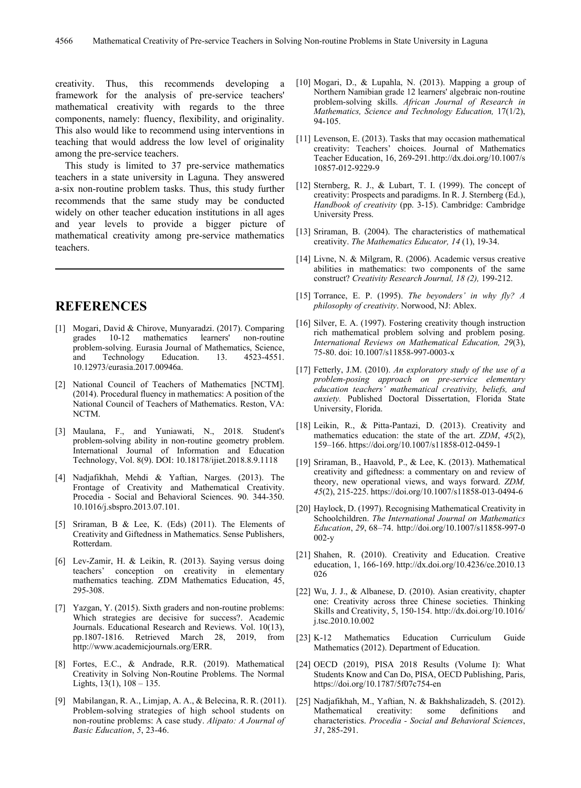creativity. Thus, this recommends developing a framework for the analysis of pre-service teachers' mathematical creativity with regards to the three components, namely: fluency, flexibility, and originality. This also would like to recommend using interventions in teaching that would address the low level of originality among the pre-service teachers.

This study is limited to 37 pre-service mathematics teachers in a state university in Laguna. They answered a-six non-routine problem tasks. Thus, this study further recommends that the same study may be conducted widely on other teacher education institutions in all ages and year levels to provide a bigger picture of mathematical creativity among pre-service mathematics teachers.

## **REFERENCES**

- [1] Mogari, David & Chirove, Munyaradzi. (2017). Comparing 10-12 mathematics learners' non-routine problem-solving. Eurasia Journal of Mathematics, Science, and Technology Education. 13. 4523-4551. Technology 10.12973/eurasia.2017.00946a.
- [2] National Council of Teachers of Mathematics [NCTM]. (2014). Procedural fluency in mathematics: A position of the National Council of Teachers of Mathematics. Reston, VA: NCTM.
- [3] Maulana, F., and Yuniawati, N., 2018. Student's problem-solving ability in non-routine geometry problem. International Journal of Information and Education Technology, Vol. 8(9). DOI: 10.18178/ijiet.2018.8.9.1118
- [4] Nadjafikhah, Mehdi & Yaftian, Narges. (2013). The Frontage of Creativity and Mathematical Creativity. Procedia - Social and Behavioral Sciences. 90. 344-350. 10.1016/j.sbspro.2013.07.101.
- [5] Sriraman, B & Lee, K. (Eds) (2011). The Elements of Creativity and Giftedness in Mathematics. Sense Publishers, Rotterdam.
- [6] Lev-Zamir, H. & Leikin, R. (2013). Saying versus doing teachers' conception on creativity in elementary mathematics teaching. ZDM Mathematics Education, 45, 295-308.
- [7] Yazgan, Y. (2015). Sixth graders and non-routine problems: Which strategies are decisive for success?. Academic Journals. Educational Research and Reviews. Vol. 10(13), pp.1807-1816. Retrieved March 28, 2019, from http://www.academicjournals.org/ERR.
- [8] Fortes, E.C., & Andrade, R.R. (2019). Mathematical Creativity in Solving Non-Routine Problems. The Normal Lights,  $13(1)$ ,  $108 - 135$ .
- [9] Mabilangan, R. A., Limjap, A. A., & Belecina, R. R. (2011). Problem-solving strategies of high school students on non-routine problems: A case study. *Alipato: A Journal of Basic Education*, *5*, 23-46.
- [10] Mogari, D., & Lupahla, N. (2013). Mapping a group of Northern Namibian grade 12 learners' algebraic non-routine problem-solving skills. *African Journal of Research in Mathematics, Science and Technology Education,* 17(1/2), 94-105.
- [11] Levenson, E. (2013). Tasks that may occasion mathematical creativity: Teachers' choices. Journal of Mathematics Teacher Education, 16, 269-291.http://dx.doi.org/10.1007/s 10857-012-9229-9
- [12] Sternberg, R. J., & Lubart, T. I. (1999). The concept of creativity: Prospects and paradigms. In R. J. Sternberg (Ed.), *Handbook of creativity* (pp. 3-15). Cambridge: Cambridge University Press.
- [13] Sriraman, B. (2004). The characteristics of mathematical creativity. *The Mathematics Educator, 14* (1), 19-34.
- [14] Livne, N. & Milgram, R. (2006). Academic versus creative abilities in mathematics: two components of the same construct? *Creativity Research Journal, 18 (2),* 199-212.
- [15] Torrance, E. P. (1995). *The beyonders' in why fly? A philosophy of creativity*. Norwood, NJ: Ablex.
- [16] Silver, E. A. (1997). Fostering creativity though instruction rich mathematical problem solving and problem posing. *International Reviews on Mathematical Education, 29*(3), 75-80. doi: 10.1007/s11858-997-0003-x
- [17] Fetterly, J.M. (2010). *An exploratory study of the use of a problem-posing approach on pre-service elementary education teachers' mathematical creativity, beliefs, and anxiety.* Published Doctoral Dissertation, Florida State University, Florida.
- [18] Leikin, R., & Pitta-Pantazi, D. (2013). Creativity and mathematics education: the state of the art. *ZDM*, *45*(2), 159–166. https://doi.org/10.1007/s11858-012-0459-1
- [19] Sriraman, B., Haavold, P., & Lee, K. (2013). Mathematical creativity and giftedness: a commentary on and review of theory, new operational views, and ways forward. *ZDM, 45*(2), 215-225. https://doi.org/10.1007/s11858-013-0494-6
- [20] Haylock, D. (1997). Recognising Mathematical Creativity in Schoolchildren. *The International Journal on Mathematics Education*, *29*, 68–74. http://doi.org/10.1007/s11858-997-0  $002-v$
- [21] Shahen, R. (2010). Creativity and Education. Creative education, 1, 166-169. http://dx.doi.org/10.4236/ce.2010.13 026
- [22] Wu, J. J., & Albanese, D. (2010). Asian creativity, chapter one: Creativity across three Chinese societies. Thinking Skills and Creativity, 5, 150-154. http://dx.doi.org/10.1016/ j.tsc.2010.10.002
- [23] K-12 Mathematics Education Curriculum Guide Mathematics (2012). Department of Education.
- [24] OECD (2019), PISA 2018 Results (Volume I): What Students Know and Can Do, PISA, OECD Publishing, Paris, https://doi.org/10.1787/5f07c754-en
- [25] Nadjafikhah, M., Yaftian, N. & Bakhshalizadeh, S. (2012). Mathematical creativity: some definitions and characteristics. *Procedia - Social and Behavioral Sciences*, *31*, 285-291.